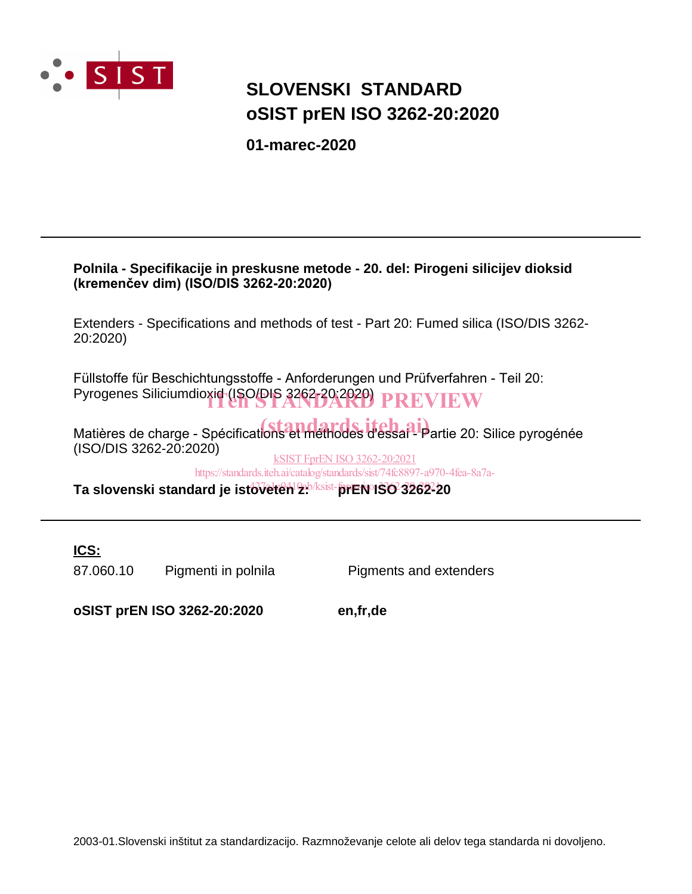

## **SLOVENSKI STANDARD oSIST prEN ISO 3262-20:2020**

**01-marec-2020**

### **Polnila - Specifikacije in preskusne metode - 20. del: Pirogeni silicijev dioksid (kremenčev dim) (ISO/DIS 3262-20:2020)**

Extenders - Specifications and methods of test - Part 20: Fumed silica (ISO/DIS 3262- 20:2020)

Füllstoffe für Beschichtungsstoffe - Anforderungen und Prüfverfahren - Teil 20: Pyrogenes Siliciumdioxid (ISO/DIS 3262-20:2020) PREVIEW

Matières de charge - Spécifications et méthodes d'essai<sup>n i</sup>partie 20: Silice pyrogénée (ISO/DIS 3262-20:2020)

kSIST FprEN ISO 3262-20:2021 https://standards.iteh.ai/catalog/standards/sist/74fc8897-a970-4fea-8a7a-

Ta slovenski standard je istoveten 2.<sup>b/ksist-</sup>prEN ISO 3262-20

**ICS:**

87.060.10 Pigmenti in polnila Pigments and extenders

**oSIST prEN ISO 3262-20:2020 en,fr,de**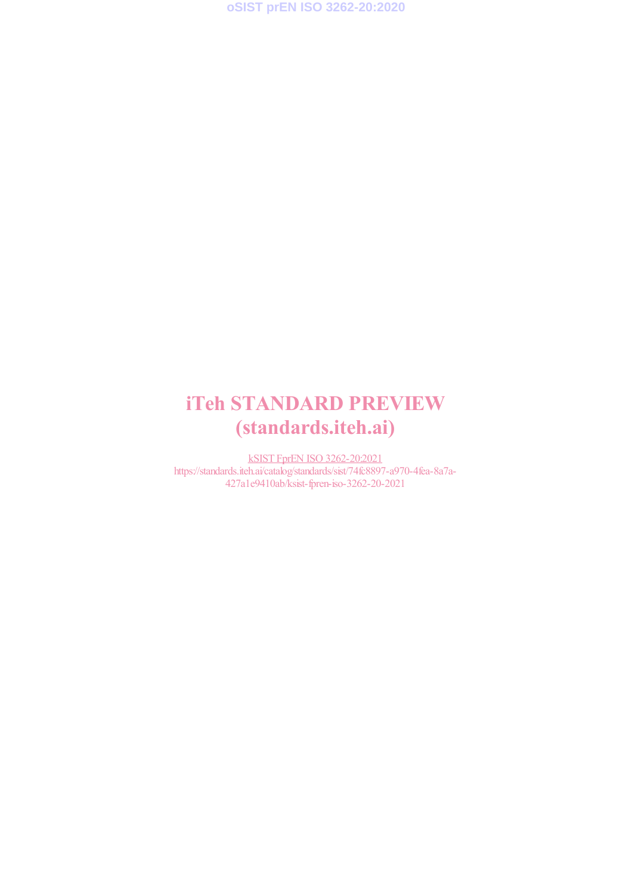**oSIST prEN ISO 3262-20:2020**

## iTeh STANDARD PREVIEW (standards.iteh.ai)

kSIST FprEN ISO 3262-20:2021 https://standards.iteh.ai/catalog/standards/sist/74fc8897-a970-4fea-8a7a-427a1e9410ab/ksist-fpren-iso-3262-20-2021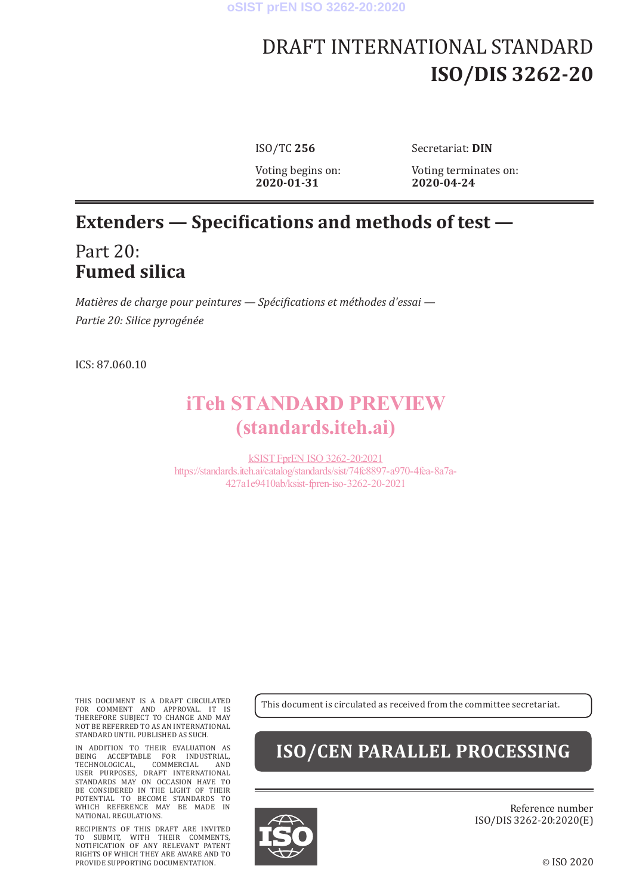## DRAFT INTERNATIONAL STANDARD **ISO/DIS 3262-20**

**2020-01-31 2020-04-24**

ISO/TC **256** Secretariat: **DIN**

Voting begins on: Voting terminates on:<br>2020-01-31 2020-04-24

# **Extenders — Specifications and methods of test —**

Part 20: **Fumed silica**

*Matières de charge pour peintures — Spécifications et méthodes d'essai — Partie 20: Silice pyrogénée*

ICS: 87.060.10

## iTeh STANDARD PREVIEW (standards.iteh.ai)

kSIST FprEN ISO 3262-20:2021 https://standards.iteh.ai/catalog/standards/sist/74fc8897-a970-4fea-8a7a-427a1e9410ab/ksist-fpren-iso-3262-20-2021

THIS DOCUMENT IS A DRAFT CIRCULATED FOR COMMENT AND APPROVAL. IT IS THEREFORE SUBJECT TO CHANGE AND MAY NOT BE REFERRED TO AS AN INTERNATIONAL STANDARD UNTIL PUBLISHED AS SUCH.

IN ADDITION TO THEIR EVALUATION AS BEING ACCEPTABLE FOR INDUSTRIAL, TECHNOLOGICAL, COMMERCIAL AND USER PURPOSES, DRAFT INTERNATIONAL STANDARDS MAY ON OCCASION HAVE TO BE CONSIDERED IN THE LIGHT OF THEIR POTENTIAL TO BECOME STANDARDS TO WHICH REFERENCE MAY BE MADE IN NATIONAL REGULATIONS.

RECIPIENTS OF THIS DRAFT ARE INVITED TO SUBMIT, WITH THEIR COMMENTS, NOTIFICATION OF ANY RELEVANT PATENT RIGHTS OF WHICH THEY ARE AWARE AND TO PROVIDE SUPPORTING DOCUMENTATION.

This document is circulated as received from the committee secretariat.

## **ISO/CEN PARALLEL PROCESSING**



Reference number ISO/DIS 3262-20:2020(E)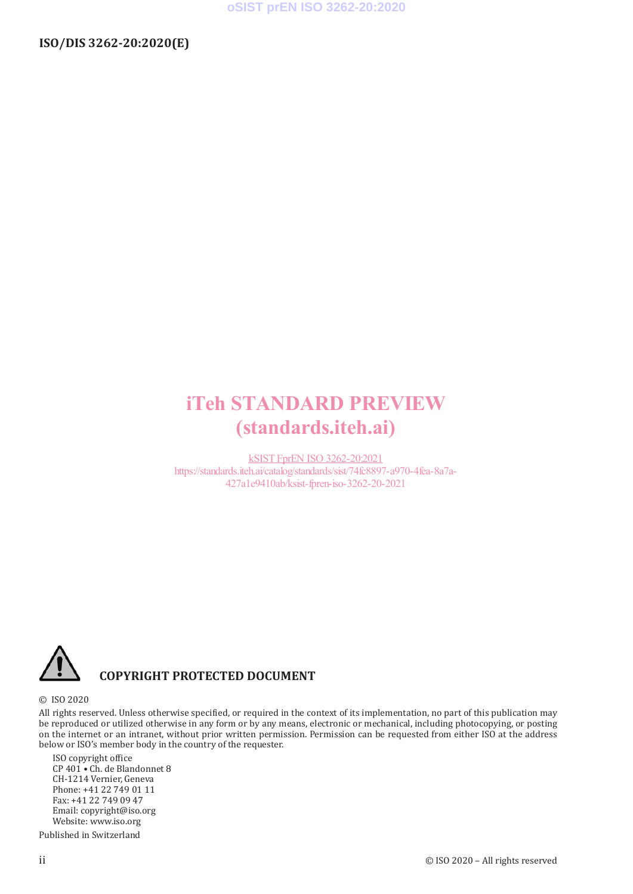## iTeh STANDARD PREVIEW (standards.iteh.ai)

kSIST FprEN ISO 3262-20:2021 https://standards.iteh.ai/catalog/standards/sist/74fc8897-a970-4fea-8a7a-427a1e9410ab/ksist-fpren-iso-3262-20-2021



## **COPYRIGHT PROTECTED DOCUMENT**

#### © ISO 2020

All rights reserved. Unless otherwise specified, or required in the context of its implementation, no part of this publication may be reproduced or utilized otherwise in any form or by any means, electronic or mechanical, including photocopying, or posting on the internet or an intranet, without prior written permission. Permission can be requested from either ISO at the address below or ISO's member body in the country of the requester.

ISO copyright office CP 401 • Ch. de Blandonnet 8 CH-1214 Vernier, Geneva Phone: +41 22 749 01 11 Fax: +41 22 749 09 47 Email: copyright@iso.org Website: www.iso.org

Published in Switzerland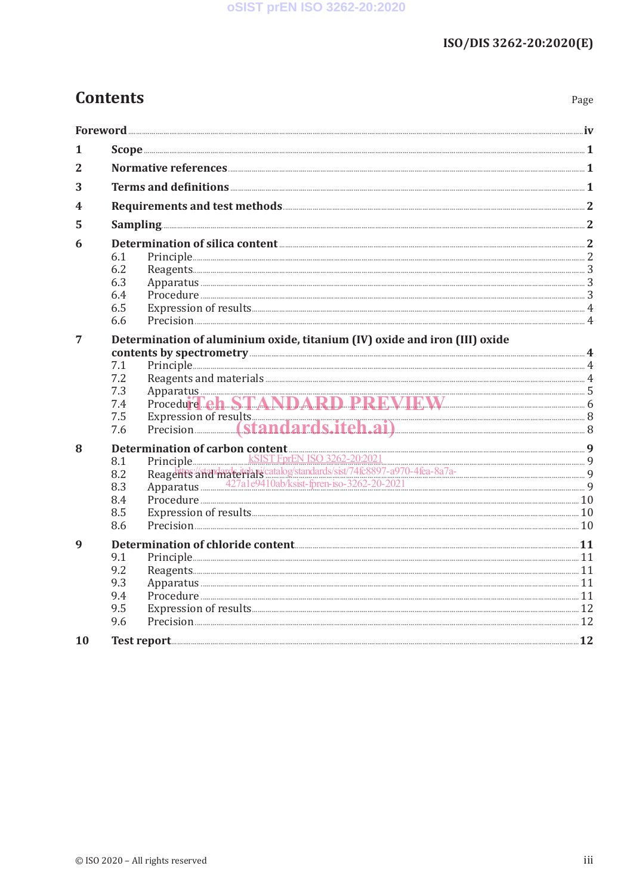Page

## **Contents**

| 1  |                                                                                                                                                                                                                                |                                                                                                                                                                                                                                     |  |  |  |  |
|----|--------------------------------------------------------------------------------------------------------------------------------------------------------------------------------------------------------------------------------|-------------------------------------------------------------------------------------------------------------------------------------------------------------------------------------------------------------------------------------|--|--|--|--|
| 2  |                                                                                                                                                                                                                                |                                                                                                                                                                                                                                     |  |  |  |  |
| 3  |                                                                                                                                                                                                                                |                                                                                                                                                                                                                                     |  |  |  |  |
| 4  |                                                                                                                                                                                                                                |                                                                                                                                                                                                                                     |  |  |  |  |
| 5  |                                                                                                                                                                                                                                |                                                                                                                                                                                                                                     |  |  |  |  |
| 6  | Determination of silica content <b>Election Structure 2</b>                                                                                                                                                                    |                                                                                                                                                                                                                                     |  |  |  |  |
|    | 6.1                                                                                                                                                                                                                            |                                                                                                                                                                                                                                     |  |  |  |  |
|    | 6.2                                                                                                                                                                                                                            |                                                                                                                                                                                                                                     |  |  |  |  |
|    | 6.3                                                                                                                                                                                                                            |                                                                                                                                                                                                                                     |  |  |  |  |
|    | 6.4                                                                                                                                                                                                                            |                                                                                                                                                                                                                                     |  |  |  |  |
|    | 6.5                                                                                                                                                                                                                            |                                                                                                                                                                                                                                     |  |  |  |  |
|    | 6.6                                                                                                                                                                                                                            | Precision <u>2003</u> The Contract of the Contract of Australian Contract of Australian Contract of Australian Contract of Australian Contract of Australian Contract of Australian Contract of Australian Contract of Australian C |  |  |  |  |
| 7  |                                                                                                                                                                                                                                | Determination of aluminium oxide, titanium (IV) oxide and iron (III) oxide                                                                                                                                                          |  |  |  |  |
|    | contents by spectrometry <b>Executive Contents</b> 4                                                                                                                                                                           |                                                                                                                                                                                                                                     |  |  |  |  |
|    | 7.1                                                                                                                                                                                                                            |                                                                                                                                                                                                                                     |  |  |  |  |
|    | 7.2                                                                                                                                                                                                                            |                                                                                                                                                                                                                                     |  |  |  |  |
|    | 7.3                                                                                                                                                                                                                            |                                                                                                                                                                                                                                     |  |  |  |  |
|    | 7.4                                                                                                                                                                                                                            | Apparatus 5<br>Procedure en STANDARD PREVIEW 5                                                                                                                                                                                      |  |  |  |  |
|    | 7.5                                                                                                                                                                                                                            | Expression of results<br>Precision (standards.iteh.ai) 8                                                                                                                                                                            |  |  |  |  |
|    | 7.6                                                                                                                                                                                                                            |                                                                                                                                                                                                                                     |  |  |  |  |
| 8  |                                                                                                                                                                                                                                |                                                                                                                                                                                                                                     |  |  |  |  |
|    |                                                                                                                                                                                                                                |                                                                                                                                                                                                                                     |  |  |  |  |
|    |                                                                                                                                                                                                                                |                                                                                                                                                                                                                                     |  |  |  |  |
|    |                                                                                                                                                                                                                                |                                                                                                                                                                                                                                     |  |  |  |  |
|    | 8.4                                                                                                                                                                                                                            |                                                                                                                                                                                                                                     |  |  |  |  |
|    | 8.5                                                                                                                                                                                                                            |                                                                                                                                                                                                                                     |  |  |  |  |
|    | 8.6                                                                                                                                                                                                                            |                                                                                                                                                                                                                                     |  |  |  |  |
| 9  | Determination of chloride content [11] and the content of the content of the content of the content of the content of the content of the content of the content of the content of the content of the content of the content of |                                                                                                                                                                                                                                     |  |  |  |  |
|    | 9.1                                                                                                                                                                                                                            |                                                                                                                                                                                                                                     |  |  |  |  |
|    | 9.2                                                                                                                                                                                                                            |                                                                                                                                                                                                                                     |  |  |  |  |
|    | 9.3                                                                                                                                                                                                                            |                                                                                                                                                                                                                                     |  |  |  |  |
|    | 9.4                                                                                                                                                                                                                            |                                                                                                                                                                                                                                     |  |  |  |  |
|    | 9.5                                                                                                                                                                                                                            |                                                                                                                                                                                                                                     |  |  |  |  |
|    | 9.6                                                                                                                                                                                                                            | Precision 22                                                                                                                                                                                                                        |  |  |  |  |
| 10 |                                                                                                                                                                                                                                | Test report 12                                                                                                                                                                                                                      |  |  |  |  |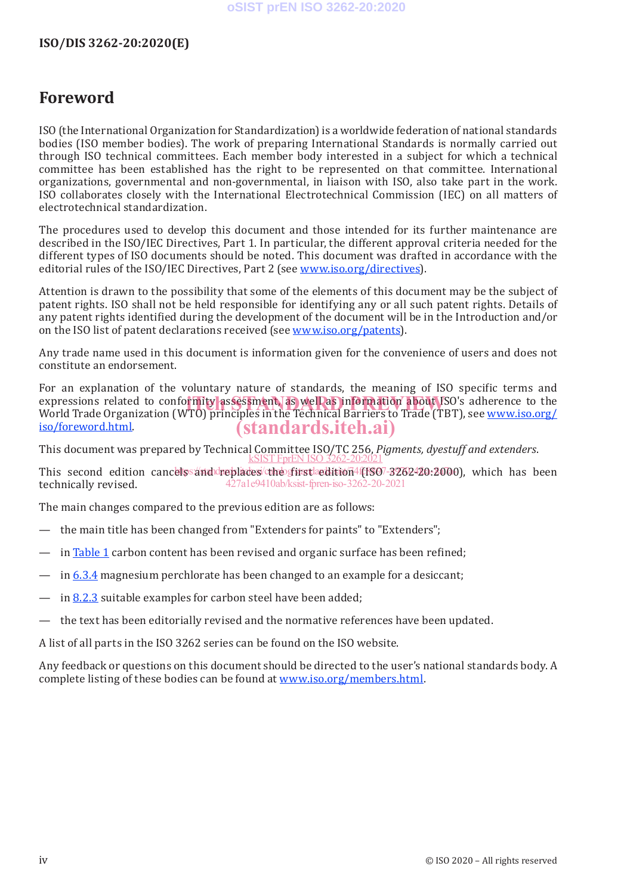## **Foreword**

ISO (the International Organization for Standardization) is a worldwide federation of national standards bodies (ISO member bodies). The work of preparing International Standards is normally carried out through ISO technical committees. Each member body interested in a subject for which a technical committee has been established has the right to be represented on that committee. International organizations, governmental and non-governmental, in liaison with ISO, also take part in the work. ISO collaborates closely with the International Electrotechnical Commission (IEC) on all matters of electrotechnical standardization.

The procedures used to develop this document and those intended for its further maintenance are described in the ISO/IEC Directives, Part 1. In particular, the different approval criteria needed for the different types of ISO documents should be noted. This document was drafted in accordance with the editorial rules of the ISO/IEC Directives, Part 2 (see www.iso.org/directives).

Attention is drawn to the possibility that some of the elements of this document may be the subject of patent rights. ISO shall not be held responsible for identifying any or all such patent rights. Details of any patent rights identified during the development of the document will be in the Introduction and/or on the ISO list of patent declarations received (see www.iso.org/patents).

Any trade name used in this document is information given for the convenience of users and does not constitute an endorsement.

For an explanation of the voluntary nature of standards, the meaning of ISO specific terms and expressions related to conformity assessment, as well as information about ISO's adherence to the<br>World Trade Organization (WTO) principles in the Technical Barriers to Trade (TBT), see www.iso.org/ World Trade Organization (WTO) principles in the Technical Barriers to Trade (TBT), see www.iso.org/ iso/foreword.html. (standards.iteh.ai)

This document was prepared by Technical Committee ISO/TC 256, *Pigments, dyestuff and extenders*. kSIST FprE

This second edition cancels and dreplaces the first adition (ISO 3262420:2000), which has been technically revised. 427a1e9410ab/ksist-fpren-iso-3262-20-2021

The main changes compared to the previous edition are as follows:

- the main title has been changed from "Extenders for paints" to "Extenders";
- in Table 1 carbon content has been revised and organic surface has been refined;
- $\frac{1}{2}$  in 6.3.4 magnesium perchlorate has been changed to an example for a desiccant;
- $\frac{1}{2}$  in 8.2.3 suitable examples for carbon steel have been added;
- the text has been editorially revised and the normative references have been updated.

A list of all parts in the ISO 3262 series can be found on the ISO website.

Any feedback or questions on this document should be directed to the user's national standards body. A complete listing of these bodies can be found at www.iso.org/members.html.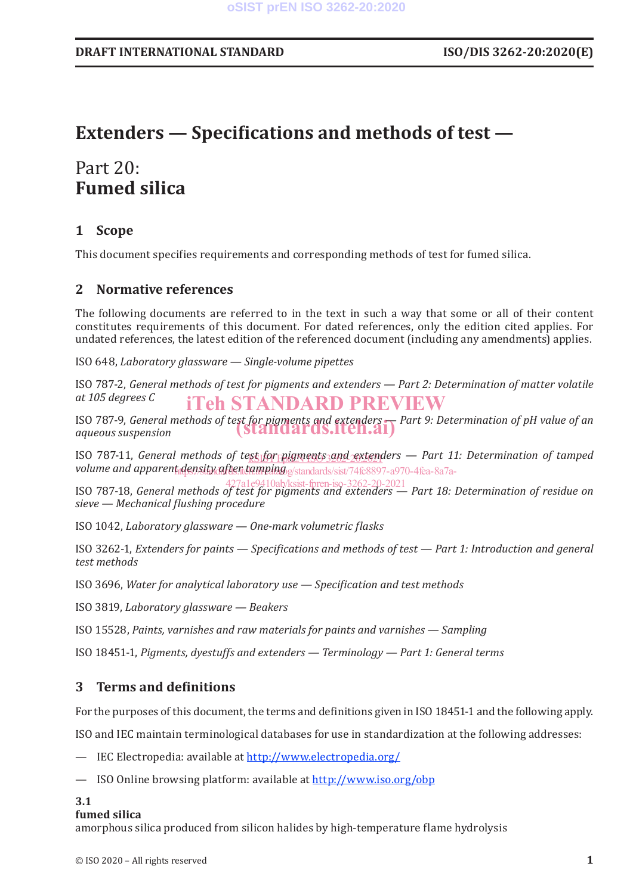## **Extenders — Specifications and methods of test —**

## Part 20: **Fumed silica**

## **1 Scope**

This document specifies requirements and corresponding methods of test for fumed silica.

## **2 Normative references**

The following documents are referred to in the text in such a way that some or all of their content constitutes requirements of this document. For dated references, only the edition cited applies. For undated references, the latest edition of the referenced document (including any amendments) applies.

ISO 648, *Laboratory glassware — Single-volume pipettes*

ISO 787-2, *General methods of test for pigments and extenders — Part 2: Determination of matter volatile at 105 degrees C* iTeh STANDARD PREVIEW

ISO 787-9, *General methods of test for pigments and extenders — Part 9: Determination of pH value of an*  (standards.iteh.ai) *aqueous suspension*

ISO 787-11, General methods of te<u>st for pigments and exten</u>ders — Part 11: Determination of tamped  $\boldsymbol{v}$ olume and apparent density after tamping <sub>g/standards/sist/74fc8897-a970-4fea-8a7a-</sub>

ISO 787-18, *General methods of test for pigments and extenders — Part 18: Determination of residue on*  427a1e9410ab/ksist-fpren-iso-3262-20-2021*sieve — Mechanical flushing procedure*

ISO 1042, *Laboratory glassware — One-mark volumetric flasks*

ISO 3262-1, *Extenders for paints — Specifications and methods of test — Part 1: Introduction and general test methods*

ISO 3696, *Water for analytical laboratory use — Specification and test methods*

ISO 3819, *Laboratory glassware — Beakers*

ISO 15528, *Paints, varnishes and raw materials for paints and varnishes — Sampling*

ISO 18451-1, *Pigments, dyestuffs and extenders — Terminology — Part 1: General terms*

## **3 Terms and definitions**

For the purposes of this document, the terms and definitions given in ISO 18451-1 and the following apply.

ISO and IEC maintain terminological databases for use in standardization at the following addresses:

— IEC Electropedia: available at http://www.electropedia.org/

— ISO Online browsing platform: available at http://www.iso.org/obp

#### **3.1**

**fumed silica**

amorphous silica produced from silicon halides by high-temperature flame hydrolysis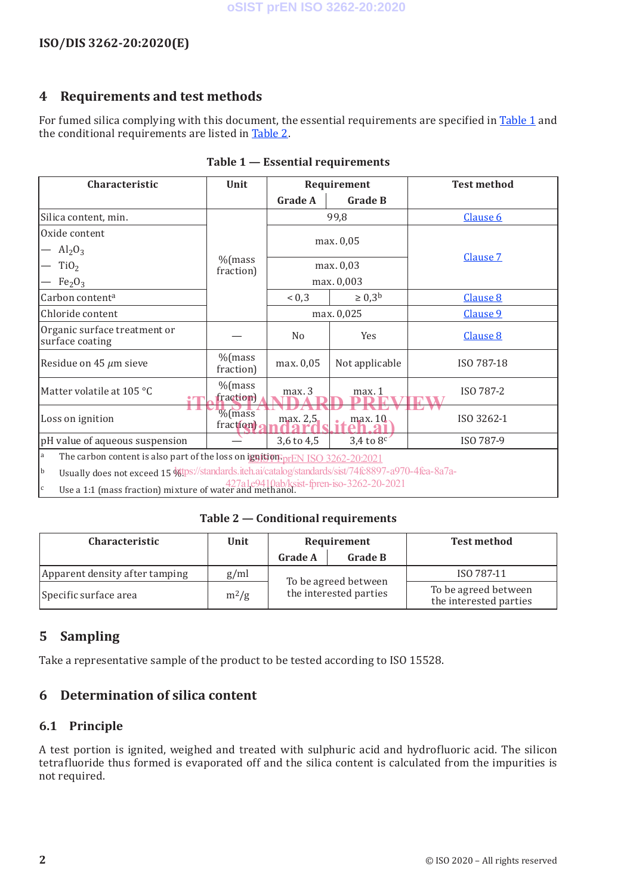## **4 Requirements and test methods**

For fumed silica complying with this document, the essential requirements are specified in Table 1 and the conditional requirements are listed in Table 2.

| Characteristic                                                                                                                       | Unit                   | Requirement    |                | <b>Test method</b> |  |  |  |
|--------------------------------------------------------------------------------------------------------------------------------------|------------------------|----------------|----------------|--------------------|--|--|--|
|                                                                                                                                      |                        | <b>Grade A</b> | <b>Grade B</b> |                    |  |  |  |
| Silica content, min.                                                                                                                 | $%$ (mass<br>fraction) | 99,8           |                | Clause 6           |  |  |  |
| Oxide content                                                                                                                        |                        | max. 0,05      |                | <b>Clause 7</b>    |  |  |  |
| $Al_2O_3$                                                                                                                            |                        |                |                |                    |  |  |  |
| TiO <sub>2</sub>                                                                                                                     |                        | max. 0,03      |                |                    |  |  |  |
| Fe <sub>2</sub> O <sub>3</sub>                                                                                                       |                        | max. 0,003     |                |                    |  |  |  |
| Carbon content <sup>a</sup>                                                                                                          |                        | < 0,3          | $\geq 0.3^b$   | <b>Clause 8</b>    |  |  |  |
| Chloride content                                                                                                                     |                        | max. 0,025     |                | <b>Clause 9</b>    |  |  |  |
| Organic surface treatment or<br>surface coating                                                                                      |                        | N <sub>0</sub> | Yes            | <b>Clause 8</b>    |  |  |  |
| Residue on 45 $\mu$ m sieve                                                                                                          | $%$ (mass<br>fraction) | max. 0,05      | Not applicable | ISO 787-18         |  |  |  |
| Matter volatile at 105 °C                                                                                                            | $%$ (mass<br>fraction) | max.3          | max.1          | ISO 787-2          |  |  |  |
| Loss on ignition                                                                                                                     | $%$ (mass<br>fraction) | max. 2,5       | max. 10        | ISO 3262-1         |  |  |  |
| pH value of aqueous suspension                                                                                                       |                        | 3,6 to 4,5     | $3,4$ to $8c$  | ISO 787-9          |  |  |  |
| a<br>The carbon content is also part of the loss on ignition For EN ISO 3262-20:2021                                                 |                        |                |                |                    |  |  |  |
| Usually does not exceed 15 %tps://standards.iteh.ai/catalog/standards/sist/74fc8897-a970-4fea-8a7a-<br>b                             |                        |                |                |                    |  |  |  |
| Use a 1:1 (mass fraction) mixture of water and methanol.<br>Use a 1:1 (mass fraction) mixture of water and methanol.<br>$\mathsf{C}$ |                        |                |                |                    |  |  |  |

#### **Table 2 — Conditional requirements**

| <b>Characteristic</b>          | Unit    | Requirement                                    |                | <b>Test method</b>                             |
|--------------------------------|---------|------------------------------------------------|----------------|------------------------------------------------|
|                                |         | <b>Grade A</b>                                 | <b>Grade B</b> |                                                |
| Apparent density after tamping | g/ml    | To be agreed between<br>the interested parties |                | ISO 787-11                                     |
| Specific surface area          | $m^2/g$ |                                                |                | To be agreed between<br>the interested parties |

## **5 Sampling**

Take a representative sample of the product to be tested according to ISO 15528.

## **6 Determination of silica content**

### **6.1 Principle**

A test portion is ignited, weighed and treated with sulphuric acid and hydrofluoric acid. The silicon tetrafluoride thus formed is evaporated off and the silica content is calculated from the impurities is not required.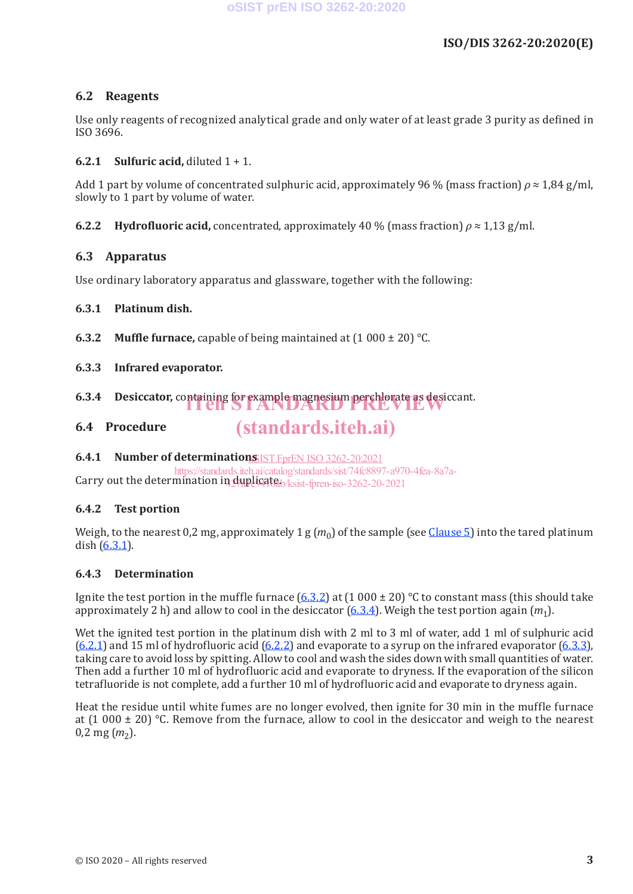#### **6.2 Reagents**

Use only reagents of recognized analytical grade and only water of at least grade 3 purity as defined in ISO 3696.

**6.2.1 Sulfuric acid,** diluted 1 + 1.

Add 1 part by volume of concentrated sulphuric acid, approximately 96 % (mass fraction) *ρ* ≈ 1,84 g/ml, slowly to 1 part by volume of water.

**6.2.2 Hydrofluoric acid,** concentrated, approximately 40 % (mass fraction) *ρ* ≈ 1,13 g/ml.

#### **6.3 Apparatus**

Use ordinary laboratory apparatus and glassware, together with the following:

#### **6.3.1 Platinum dish.**

- **6.3.2 Muffle furnace,** capable of being maintained at (1 000 ± 20) °C.
- **6.3.3 Infrared evaporator.**
- **6.3.4 Desiccator, containing for example magnesium perchlorate as desiccant.**
- **6.4 Procedure** (standards.iteh.ai)

### **6.4.1** Number of determination SIST FprEN ISO 3262-20:2021

Carry out the determination in duplicate b/ksist-fpren-iso-3262-20-2021 https://standards.iteh.ai/catalog/standards/sist/74fc8897-a970-4fea-8a7a-

#### **6.4.2 Test portion**

Weigh, to the nearest 0,2 mg, approximately 1 g  $(m_0)$  of the sample (see Clause 5) into the tared platinum dish  $(6.3.1)$ .

#### **6.4.3 Determination**

Ignite the test portion in the muffle furnace  $(6.3.2)$  at  $(1\ 000 \pm 20)$  °C to constant mass (this should take approximately 2 h) and allow to cool in the desiccator  $(6.3.4)$ . Weigh the test portion again  $(m_1)$ .

Wet the ignited test portion in the platinum dish with 2 ml to 3 ml of water, add 1 ml of sulphuric acid (6.2.1) and 15 ml of hydrofluoric acid (6.2.2) and evaporate to a syrup on the infrared evaporator (6.3.3), taking care to avoid loss by spitting. Allow to cool and wash the sides down with small quantities of water. Then add a further 10 ml of hydrofluoric acid and evaporate to dryness. If the evaporation of the silicon tetrafluoride is not complete, add a further 10 ml of hydrofluoric acid and evaporate to dryness again.

Heat the residue until white fumes are no longer evolved, then ignite for 30 min in the muffle furnace at (1 000  $\pm$  20) °C. Remove from the furnace, allow to cool in the desiccator and weigh to the nearest  $0,2$  mg  $(m_2)$ .